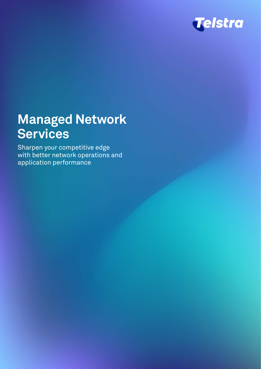

# **Managed Network Services**

Sharpen your competitive edge with better network operations and application performance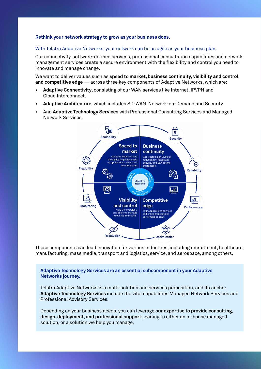## **Rethink your network strategy to grow as your business does.**

## With Telstra Adaptive Networks, your network can be as agile as your business plan.

Our connectivity, software-defined services, professional consultation capabilities and network management services create a secure environment with the flexibility and control you need to innovate and manage change.

We want to deliver values such as speed to **market, business continuity, visibility and control, and competitive edge —** across three key components of Adaptive Networks, which are:

- **• Adaptive Connectivity**, consisting of our WAN services like Internet, IPVPN and Cloud Interconnect.
- **• Adaptive Architecture**, which includes SD-WAN, Network-on-Demand and Security.
- And **Adaptive Technology Services** with Professional Consulting Services and Managed Network Services.



These components can lead innovation for various industries, including recruitment, healthcare, manufacturing, mass media, transport and logistics, service, and aerospace, among others.

**Adaptive Technology Services are an essential subcomponent in your Adaptive Networks journey.**

Telstra Adaptive Networks is a multi-solution and services proposition, and its anchor **Adaptive Technology Services** include the vital capabilities Managed Network Services and Professional Advisory Services.

Depending on your business needs, you can leverage **our expertise to provide consulting, design, deployment, and professional support**, leading to either an in-house managed solution, or a solution we help you manage.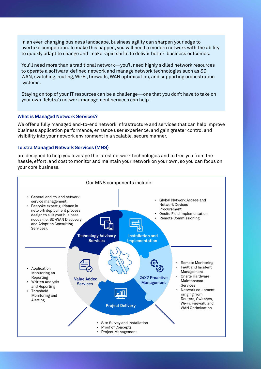In an ever-changing business landscape, business agility can sharpen your edge to overtake competition. To make this happen, you will need a modern network with the ability to quickly adapt to change and make rapid shifts to deliver better business outcomes.

You'll need more than a traditional network—you'll need highly skilled network resources to operate a software-defined network and manage network technologies such as SD-WAN, switching, routing, Wi-Fi, firewalls, WAN optimisation, and supporting orchestration systems.

Staying on top of your IT resources can be a challenge—one that you don't have to take on your own. Telstra's network management services can help.

#### **What is Managed Network Services?**

We offer a fully managed end-to-end network infrastructure and services that can help improve business application performance, enhance user experience, and gain greater control and visibility into your network environment in a scalable, secure manner.

#### **Telstra Managed Network Services (MNS)**

are designed to help you leverage the latest network technologies and to free you from the hassle, effort, and cost to monitor and maintain your network on your own, so you can focus on your core business.

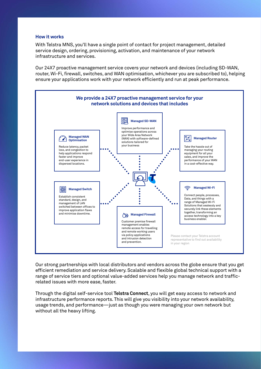### **How it works**

With Telstra MNS, you'll have a single point of contact for project management, detailed service design, ordering, provisioning, activation, and maintenance of your network infrastructure and services.

Our 24X7 proactive management service covers your network and devices (including SD-WAN, router, Wi-Fi, firewall, switches, and WAN optimisation, whichever you are subscribed to), helping ensure your applications work with your network efficiently and run at peak performance.



Our strong partnerships with local distributors and vendors across the globe ensure that you get efficient remediation and service delivery. Scalable and flexible global technical support with a range of service tiers and optional value-added services help you manage network and trafficrelated issues with more ease, faster.

Through the digital self-service tool **Telstra Connect**, you will get easy access to network and infrastructure performance reports. This will give you visibility into your network availability, usage trends, and performance—just as though you were managing your own network but without all the heavy lifting.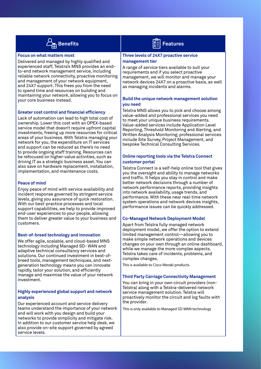

#### **Focus on what matters most**

Delivered and managed by highly qualified and experienced staff, Telstra's MNS provides an endto-end network management service, including reliable network connectivity, proactive monitoring and management of your network equipment, and 24X7 support. This frees you from the need to spend time and resources on building and maintaining your network, allowing you to focus on your core business instead.

#### **Greater cost control and financial efficiency**

Lack of automation can lead to high total cost of ownership. Lower this cost with an OPEX-based service model that doesn't require upfront capital investments, freeing up more resources for critical areas of your business. With Telstra managing your network for you, the expenditure on IT services and support can be reduced as there's no need to provide ongoing staff training. Resources can be refocused on higher-value activities, such as driving IT as a strategic business asset. You can also save on hardware replacement, installation, implementation, and maintenance costs.

#### **Peace of mind**

Enjoy peace of mind with service availability and incident response governed by stringent service levels, giving you assurance of quick restoration. With our best-practice processes and local support capabilities, we help to provide improved end-user experiences to your people, allowing them to deliver greater value to your business and customers.

#### **Best-of-breed technology and innovation**

We offer agile, scalable, and cloud-based MNS technology including Managed SD- WAN and adaptive technical consultancy services and solutions. Our continued investment in best-ofbreed tools, management techniques, and nextgeneration technology means you can innovate rapidly, tailor your solution, and efficiently manage and maximise the value of your network investment.

#### **Highly experienced global support and network analysis**

Our experienced account and service delivery teams understand the importance of your network and will work with you design and build your networks to provide simplicity and mitigate risk. In addition to our customer service help desk, we also provide on-site support governed by agreed service levels.



#### **Three levels of 24X7 proactive service management tier**

A range of service tiers available to suit your requirements and if you select proactive management, we will monitor and manage your network devices 24X7 on a proactive basis, as well as managing incidents and alarms.

#### **Build the unique network management solution you need**

Telstra MNS allows you to pick and choose among value-added and professional services you need to meet your unique business requirements. Value-added services include Application Level Reporting, Threshold Monitoring and Alerting, and Written Analysis Monitoring; professional services include Site Survey, Project Management, and bespoke Technical Consulting Services.

# **Online reporting tools via the Telstra Connect customer portal**

Telstra Connect is a self-help online tool that gives you the oversight and ability to manage networks and traffic. It helps you stay in control and make better network decisions through a number of network performance reports, providing insights into network availability, usage trends, and performance. With these near real-time network system operations and network devices insights, performance issues can be quickly addressed.

#### **Co-Managed Network Deployment Model**

Apart from Telstra fully managed network deployment model, we offer the option to extend limited management control—allowing you to make simple network operations and devices changes on your own through an online dashboard, while we manage the more complex aspects. Telstra takes care of incidents, problems, and complex changes.

This is available to Cisco Meraki products.

#### **Third Party Carriage Connectivity Management**

You can bring in your own circuit providers (non-Telstra) along with a Telstra-delivered network service management solution. Telstra will proactively monitor the circuit and log faults with the provider.

This is only available to Managed SD-WAN technology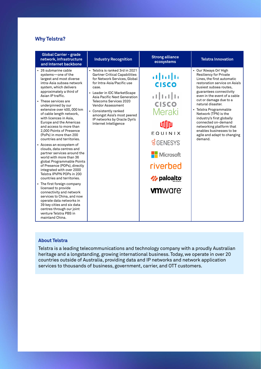# **Why Telstra?**

| <b>Global Carrier - grade</b><br>network, infrastructure<br>and Internet backbone                                                                                                                                                                                                                                                                                                                                                                                                                                                                                                                                                                                                                                                                                                                                                                                                                                                                                                       | <b>Industry Recognition</b>                                                                                                                                                                                                                                                                                                                                                 | <b>Strong alliance</b><br>ecosystems                                                                                                                                | <b>Telstra Innovation</b>                                                                                                                                                                                                                                                                                                                                                                                                                                          |
|-----------------------------------------------------------------------------------------------------------------------------------------------------------------------------------------------------------------------------------------------------------------------------------------------------------------------------------------------------------------------------------------------------------------------------------------------------------------------------------------------------------------------------------------------------------------------------------------------------------------------------------------------------------------------------------------------------------------------------------------------------------------------------------------------------------------------------------------------------------------------------------------------------------------------------------------------------------------------------------------|-----------------------------------------------------------------------------------------------------------------------------------------------------------------------------------------------------------------------------------------------------------------------------------------------------------------------------------------------------------------------------|---------------------------------------------------------------------------------------------------------------------------------------------------------------------|--------------------------------------------------------------------------------------------------------------------------------------------------------------------------------------------------------------------------------------------------------------------------------------------------------------------------------------------------------------------------------------------------------------------------------------------------------------------|
| • 26 submarine cable<br>systems-one of the<br>largest and most diverse<br>intra-Asia subsea network<br>system, which delivers<br>approximately a third of<br>Asian IP traffic.<br>• These services are<br>underpinned by our<br>extensive over 400, 000 km<br>of cable length network,<br>with licences in Asia.<br>Europe and the Americas<br>and access to more than<br>2.000 Points of Presence<br>(PoPs) in more than 200<br>countries and territories.<br>• Access an ecosystem of<br>clouds, data centres and<br>partner services around the<br>world with more than 36<br>global Programmable Points<br>of Presence (POPs), directly<br>integrated with over 2000<br>Telstra IPVPN POPs in 200<br>countries and territories.<br>• The first foreign company<br>licensed to provide<br>connectivity and network<br>services to China, and now<br>operate data networks in<br>39 key cities and six data<br>centres through our joint<br>venture Telstra PBS in<br>mainland China. | • Telstra is ranked 3rd in 2021<br><b>Gartner Critical Capabilities</b><br>for Network Services, Global<br>for Intra-Asia/Pacific use<br>case.<br>• Leader in IDC MarketScape<br>Asia Pacific Next Generation<br>Telecoms Services 2020<br>Vendor Assessment<br>• Consistently ranked<br>amongst Asia's most peered<br>IP networks by Oracle Dyn's<br>Internet Intelligence | ahah<br><b>CISCO</b><br><b>CISCO</b><br>Meraki<br>ullid<br>EQUINIX<br><b>8 GENESYS</b><br><b>Nicrosoft</b><br>riverbed<br><b>Z</b> paloalto<br><b><i>umware</i></b> | • Our 'Always On' High<br><b>Resiliency for Private</b><br>Lines, the first automatic<br>restoration service on Asia's<br>busiest subsea routes,<br>guarantees connectivity<br>even in the event of a cable<br>cut or damage due to a<br>natural disaster.<br>• Telstra Programmable<br>Network (TPN) is the<br>industry's first globally<br>connected on-demand<br>networking platform that<br>enables businesses to be<br>agile and adapt to changing<br>demand. |

# **About Telstra**

Telstra is a leading telecommunications and technology company with a proudly Australian heritage and a longstanding, growing international business. Today, we operate in over 20 countries outside of Australia, providing data and IP networks and network application services to thousands of business, government, carrier, and OTT customers.